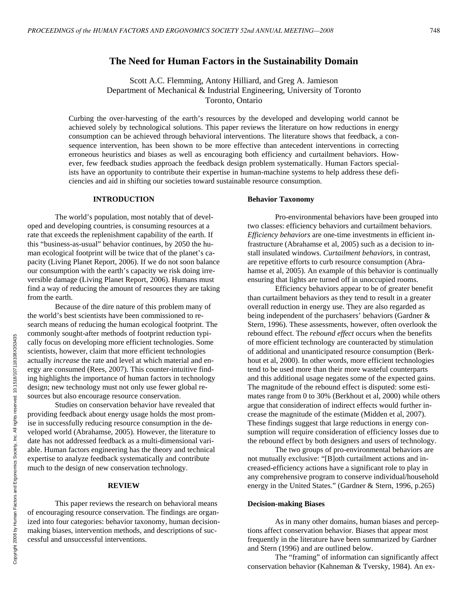# **The Need for Human Factors in the Sustainability Domain**

Scott A.C. Flemming, Antony Hilliard, and Greg A. Jamieson Department of Mechanical & Industrial Engineering, University of Toronto Toronto, Ontario

Curbing the over-harvesting of the earth's resources by the developed and developing world cannot be achieved solely by technological solutions. This paper reviews the literature on how reductions in energy consumption can be achieved through behavioral interventions. The literature shows that feedback, a consequence intervention, has been shown to be more effective than antecedent interventions in correcting erroneous heuristics and biases as well as encouraging both efficiency and curtailment behaviors. However, few feedback studies approach the feedback design problem systematically. Human Factors specialists have an opportunity to contribute their expertise in human-machine systems to help address these deficiencies and aid in shifting our societies toward sustainable resource consumption.

## **INTRODUCTION**

The world's population, most notably that of developed and developing countries, is consuming resources at a rate that exceeds the replenishment capability of the earth. If this "business-as-usual" behavior continues, by 2050 the human ecological footprint will be twice that of the planet's capacity (Living Planet Report, 2006). If we do not soon balance our consumption with the earth's capacity we risk doing irreversible damage (Living Planet Report, 2006). Humans must find a way of reducing the amount of resources they are taking from the earth.

Because of the dire nature of this problem many of the world's best scientists have been commissioned to research means of reducing the human ecological footprint. The commonly sought-after methods of footprint reduction typically focus on developing more efficient technologies. Some scientists, however, claim that more efficient technologies actually *increase* the rate and level at which material and energy are consumed (Rees, 2007). This counter-intuitive finding highlights the importance of human factors in technology design; new technology must not only use fewer global resources but also encourage resource conservation.

Studies on conservation behavior have revealed that providing feedback about energy usage holds the most promise in successfully reducing resource consumption in the developed world (Abrahamse, 2005). However, the literature to date has not addressed feedback as a multi-dimensional variable. Human factors engineering has the theory and technical expertise to analyze feedback systematically and contribute much to the design of new conservation technology.

### **REVIEW**

This paper reviews the research on behavioral means of encouraging resource conservation. The findings are organized into four categories: behavior taxonomy, human decisionmaking biases, intervention methods, and descriptions of successful and unsuccessful interventions.

### **Behavior Taxonomy**

Pro-environmental behaviors have been grouped into two classes: efficiency behaviors and curtailment behaviors. *Efficiency behaviors* are one-time investments in efficient infrastructure (Abrahamse et al, 2005) such as a decision to install insulated windows. *Curtailment behaviors*, in contrast, are repetitive efforts to curb resource consumption (Abrahamse et al, 2005). An example of this behavior is continually ensuring that lights are turned off in unoccupied rooms.

Efficiency behaviors appear to be of greater benefit than curtailment behaviors as they tend to result in a greater overall reduction in energy use. They are also regarded as being independent of the purchasers' behaviors (Gardner & Stern, 1996). These assessments, however, often overlook the rebound effect. The *rebound effect* occurs when the benefits of more efficient technology are counteracted by stimulation of additional and unanticipated resource consumption (Berkhout et al, 2000). In other words, more efficient technologies tend to be used more than their more wasteful counterparts and this additional usage negates some of the expected gains. The magnitude of the rebound effect is disputed: some estimates range from 0 to 30% (Berkhout et al, 2000) while others argue that consideration of indirect effects would further increase the magnitude of the estimate (Midden et al, 2007). These findings suggest that large reductions in energy consumption will require consideration of efficiency losses due to the rebound effect by both designers and users of technology.

The two groups of pro-environmental behaviors are not mutually exclusive: "[B]oth curtailment actions and increased-efficiency actions have a significant role to play in any comprehensive program to conserve individual/household energy in the United States." (Gardner & Stern, 1996, p.265)

### **Decision-making Biases**

As in many other domains, human biases and perceptions affect conservation behavior. Biases that appear most frequently in the literature have been summarized by Gardner and Stern (1996) and are outlined below.

The "framing" of information can significantly affect conservation behavior (Kahneman & Tversky, 1984). An ex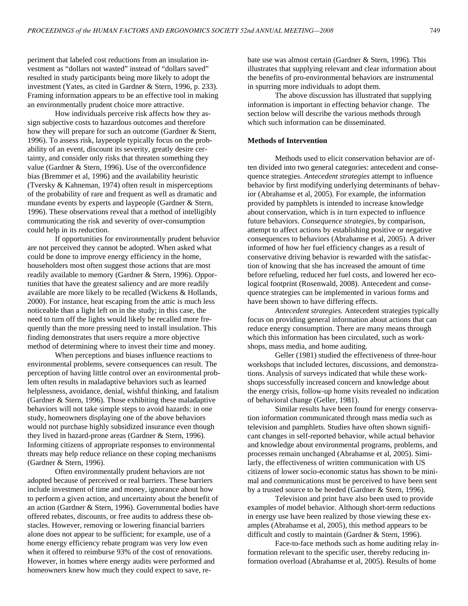periment that labeled cost reductions from an insulation investment as "dollars not wasted" instead of "dollars saved" resulted in study participants being more likely to adopt the investment (Yates, as cited in Gardner & Stern, 1996, p. 233). Framing information appears to be an effective tool in making an environmentally prudent choice more attractive.

How individuals perceive risk affects how they assign subjective costs to hazardous outcomes and therefore how they will prepare for such an outcome (Gardner & Stern, 1996). To assess risk, laypeople typically focus on the probability of an event, discount its severity, greatly desire certainty, and consider only risks that threaten something they value (Gardner & Stern, 1996). Use of the overconfidence bias (Bremmer et al, 1996) and the availability heuristic (Tversky & Kahneman, 1974) often result in misperceptions of the probability of rare and frequent as well as dramatic and mundane events by experts and laypeople (Gardner & Stern, 1996). These observations reveal that a method of intelligibly communicating the risk and severity of over-consumption could help in its reduction.

If opportunities for environmentally prudent behavior are not perceived they cannot be adopted. When asked what could be done to improve energy efficiency in the home, householders most often suggest those actions that are most readily available to memory (Gardner & Stern, 1996). Opportunities that have the greatest saliency and are more readily available are more likely to be recalled (Wickens & Hollands, 2000). For instance, heat escaping from the attic is much less noticeable than a light left on in the study; in this case, the need to turn off the lights would likely be recalled more frequently than the more pressing need to install insulation. This finding demonstrates that users require a more objective method of determining where to invest their time and money.

When perceptions and biases influence reactions to environmental problems, severe consequences can result. The perception of having little control over an environmental problem often results in maladaptive behaviors such as learned helplessness, avoidance, denial, wishful thinking, and fatalism (Gardner & Stern, 1996). Those exhibiting these maladaptive behaviors will not take simple steps to avoid hazards: in one study, homeowners displaying one of the above behaviors would not purchase highly subsidized insurance even though they lived in hazard-prone areas (Gardner & Stern, 1996). Informing citizens of appropriate responses to environmental threats may help reduce reliance on these coping mechanisms (Gardner & Stern, 1996).

Often environmentally prudent behaviors are not adopted because of perceived or real barriers. These barriers include investment of time and money, ignorance about how to perform a given action, and uncertainty about the benefit of an action (Gardner & Stern, 1996). Governmental bodies have offered rebates, discounts, or free audits to address these obstacles. However, removing or lowering financial barriers alone does not appear to be sufficient; for example, use of a home energy efficiency rebate program was very low even when it offered to reimburse 93% of the cost of renovations. However, in homes where energy audits were performed and homeowners knew how much they could expect to save, re-

bate use was almost certain (Gardner & Stern, 1996). This illustrates that supplying relevant and clear information about the benefits of pro-environmental behaviors are instrumental in spurring more individuals to adopt them.

The above discussion has illustrated that supplying information is important in effecting behavior change. The section below will describe the various methods through which such information can be disseminated.

## **Methods of Intervention**

Methods used to elicit conservation behavior are often divided into two general categories: antecedent and consequence strategies. *Antecedent strategies* attempt to influence behavior by first modifying underlying determinants of behavior (Abrahamse et al, 2005). For example, the information provided by pamphlets is intended to increase knowledge about conservation, which is in turn expected to influence future behaviors. *Consequence strategies*, by comparison, attempt to affect actions by establishing positive or negative consequences to behaviors (Abrahamse et al, 2005). A driver informed of how her fuel efficiency changes as a result of conservative driving behavior is rewarded with the satisfaction of knowing that she has increased the amount of time before refueling, reduced her fuel costs, and lowered her ecological footprint (Rosenwald, 2008). Antecedent and consequence strategies can be implemented in various forms and have been shown to have differing effects.

*Antecedent strategies.* Antecedent strategies typically focus on providing general information about actions that can reduce energy consumption. There are many means through which this information has been circulated, such as workshops, mass media, and home auditing.

Geller (1981) studied the effectiveness of three-hour workshops that included lectures, discussions, and demonstrations. Analysis of surveys indicated that while these workshops successfully increased concern and knowledge about the energy crisis, follow-up home visits revealed no indication of behavioral change (Geller, 1981).

Similar results have been found for energy conservation information communicated through mass media such as television and pamphlets. Studies have often shown significant changes in self-reported behavior, while actual behavior and knowledge about environmental programs, problems, and processes remain unchanged (Abrahamse et al, 2005). Similarly, the effectiveness of written communication with US citizens of lower socio-economic status has shown to be minimal and communications must be perceived to have been sent by a trusted source to be heeded (Gardner & Stern, 1996).

Television and print have also been used to provide examples of model behavior. Although short-term reductions in energy use have been realized by those viewing these examples (Abrahamse et al, 2005), this method appears to be difficult and costly to maintain (Gardner & Stern, 1996).

Face-to-face methods such as home auditing relay information relevant to the specific user, thereby reducing information overload (Abrahamse et al, 2005). Results of home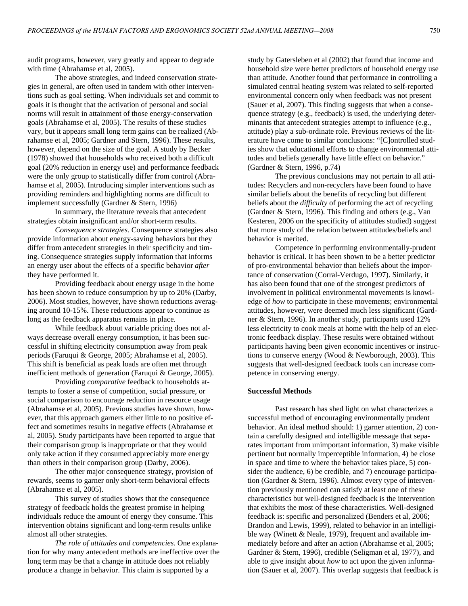audit programs, however, vary greatly and appear to degrade with time (Abrahamse et al, 2005).

The above strategies, and indeed conservation strategies in general, are often used in tandem with other interventions such as goal setting. When individuals set and commit to goals it is thought that the activation of personal and social norms will result in attainment of those energy-conservation goals (Abrahamse et al, 2005). The results of these studies vary, but it appears small long term gains can be realized (Abrahamse et al, 2005; Gardner and Stern, 1996). These results, however, depend on the size of the goal. A study by Becker (1978) showed that households who received both a difficult goal (20% reduction in energy use) and performance feedback were the only group to statistically differ from control (Abrahamse et al, 2005). Introducing simpler interventions such as providing reminders and highlighting norms are difficult to implement successfully (Gardner & Stern, 1996)

In summary, the literature reveals that antecedent strategies obtain insignificant and/or short-term results.

*Consequence strategies.* Consequence strategies also provide information about energy-saving behaviors but they differ from antecedent strategies in their specificity and timing. Consequence strategies supply information that informs an energy user about the effects of a specific behavior *after*  they have performed it.

Providing feedback about energy usage in the home has been shown to reduce consumption by up to 20% (Darby, 2006). Most studies, however, have shown reductions averaging around 10-15%. These reductions appear to continue as long as the feedback apparatus remains in place.

While feedback about variable pricing does not always decrease overall energy consumption, it has been successful in shifting electricity consumption away from peak periods (Faruqui & George, 2005; Abrahamse et al, 2005). This shift is beneficial as peak loads are often met through inefficient methods of generation (Faruqui & George, 2005).

Providing *comparative* feedback to households attempts to foster a sense of competition, social pressure, or social comparison to encourage reduction in resource usage (Abrahamse et al, 2005). Previous studies have shown, however, that this approach garners either little to no positive effect and sometimes results in negative effects (Abrahamse et al, 2005). Study participants have been reported to argue that their comparison group is inappropriate or that they would only take action if they consumed appreciably more energy than others in their comparison group (Darby, 2006).

The other major consequence strategy, provision of rewards, seems to garner only short-term behavioral effects (Abrahamse et al, 2005).

This survey of studies shows that the consequence strategy of feedback holds the greatest promise in helping individuals reduce the amount of energy they consume. This intervention obtains significant and long-term results unlike almost all other strategies.

*The role of attitudes and competencies.* One explanation for why many antecedent methods are ineffective over the long term may be that a change in attitude does not reliably produce a change in behavior. This claim is supported by a

study by Gatersleben et al (2002) that found that income and household size were better predictors of household energy use than attitude. Another found that performance in controlling a simulated central heating system was related to self-reported environmental concern only when feedback was not present (Sauer et al, 2007). This finding suggests that when a consequence strategy (e.g., feedback) is used, the underlying determinants that antecedent strategies attempt to influence (e.g., attitude) play a sub-ordinate role. Previous reviews of the literature have come to similar conclusions: "[C]ontrolled studies show that educational efforts to change environmental attitudes and beliefs generally have little effect on behavior." (Gardner & Stern, 1996, p.74)

The previous conclusions may not pertain to all attitudes: Recyclers and non-recyclers have been found to have similar beliefs about the benefits of recycling but different beliefs about the *difficulty* of performing the act of recycling (Gardner & Stern, 1996). This finding and others (e.g., Van Kesteren, 2006 on the specificity of attitudes studied) suggest that more study of the relation between attitudes/beliefs and behavior is merited.

Competence in performing environmentally-prudent behavior is critical. It has been shown to be a better predictor of pro-environmental behavior than beliefs about the importance of conservation (Corral-Verdugo, 1997). Similarly, it has also been found that one of the strongest predictors of involvement in political environmental movements is knowledge of *how* to participate in these movements; environmental attitudes, however, were deemed much less significant (Gardner & Stern, 1996). In another study, participants used 12% less electricity to cook meals at home with the help of an electronic feedback display. These results were obtained without participants having been given economic incentives or instructions to conserve energy (Wood & Newborough, 2003). This suggests that well-designed feedback tools can increase competence in conserving energy.

## **Successful Methods**

Past research has shed light on what characterizes a successful method of encouraging environmentally prudent behavior. An ideal method should: 1) garner attention, 2) contain a carefully designed and intelligible message that separates important from unimportant information, 3) make visible pertinent but normally imperceptible information, 4) be close in space and time to where the behavior takes place, 5) consider the audience, 6) be credible, and 7) encourage participation (Gardner & Stern, 1996). Almost every type of intervention previously mentioned can satisfy at least one of these characteristics but well-designed feedback is the intervention that exhibits the most of these characteristics. Well-designed feedback is: specific and personalized (Benders et al, 2006; Brandon and Lewis, 1999), related to behavior in an intelligible way (Winett & Neale, 1979), frequent and available immediately before and after an action (Abrahamse et al, 2005; Gardner & Stern, 1996), credible (Seligman et al, 1977), and able to give insight about *how* to act upon the given information (Sauer et al, 2007). This overlap suggests that feedback is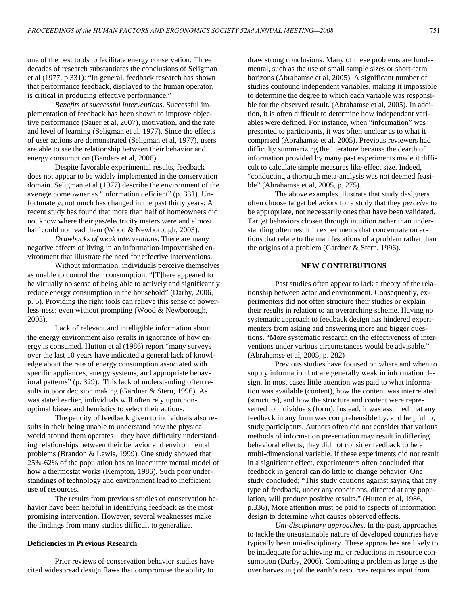one of the best tools to facilitate energy conservation. Three decades of research substantiates the conclusions of Seligman et al (1977, p.331): "In general, feedback research has shown that performance feedback, displayed to the human operator, is critical in producing effective performance."

*Benefits of successful interventions*. Successful implementation of feedback has been shown to improve objective performance (Sauer et al, 2007), motivation, and the rate and level of learning (Seligman et al, 1977). Since the effects of user actions are demonstrated (Seligman et al, 1977), users are able to see the relationship between their behavior and energy consumption (Benders et al, 2006).

Despite favorable experimental results, feedback does not appear to be widely implemented in the conservation domain. Seligman et al (1977) describe the environment of the average homeowner as "information deficient" (p. 331). Unfortunately, not much has changed in the past thirty years: A recent study has found that more than half of homeowners did not know where their gas/electricity meters were and almost half could not read them (Wood & Newborough, 2003).

*Drawbacks of weak interventions*. There are many negative effects of living in an information-impoverished environment that illustrate the need for effective interventions.

Without information, individuals perceive themselves as unable to control their consumption: "[T]here appeared to be virtually no sense of being able to actively and significantly reduce energy consumption in the household" (Darby, 2006, p. 5). Providing the right tools can relieve this sense of powerless-ness; even without prompting (Wood & Newborough, 2003).

Lack of relevant and intelligible information about the energy environment also results in ignorance of how energy is consumed. Hutton et al (1986) report "many surveys over the last 10 years have indicated a general lack of knowledge about the rate of energy consumption associated with specific appliances, energy systems, and appropriate behavioral patterns" (p. 329). This lack of understanding often results in poor decision making (Gardner & Stern, 1996). As was stated earlier, individuals will often rely upon nonoptimal biases and heuristics to select their actions.

The paucity of feedback given to individuals also results in their being unable to understand how the physical world around them operates – they have difficulty understanding relationships between their behavior and environmental problems (Brandon & Lewis, 1999). One study showed that 25%-62% of the population has an inaccurate mental model of how a thermostat works (Kempton, 1986). Such poor understandings of technology and environment lead to inefficient use of resources.

The results from previous studies of conservation behavior have been helpful in identifying feedback as the most promising intervention. However, several weaknesses make the findings from many studies difficult to generalize.

## **Deficiencies in Previous Research**

Prior reviews of conservation behavior studies have cited widespread design flaws that compromise the ability to

draw strong conclusions. Many of these problems are fundamental, such as the use of small sample sizes or short-term horizons (Abrahamse et al, 2005). A significant number of studies confound independent variables, making it impossible to determine the degree to which each variable was responsible for the observed result. (Abrahamse et al, 2005). In addition, it is often difficult to determine how independent variables were defined. For instance, when "information" was presented to participants, it was often unclear as to what it comprised (Abrahamse et al, 2005). Previous reviewers had difficulty summarizing the literature because the dearth of information provided by many past experiments made it difficult to calculate simple measures like effect size. Indeed, "conducting a thorough meta-analysis was not deemed feasible" (Abrahamse et al, 2005, p. 275).

The above examples illustrate that study designers often choose target behaviors for a study that they *perceive* to be appropriate, not necessarily ones that have been validated. Target behaviors chosen through intuition rather than understanding often result in experiments that concentrate on actions that relate to the manifestations of a problem rather than the origins of a problem (Gardner & Stern, 1996).

## **NEW CONTRIBUTIONS**

Past studies often appear to lack a theory of the relationship between actor and environment. Consequently, experimenters did not often structure their studies or explain their results in relation to an overarching scheme. Having no systematic approach to feedback design has hindered experimenters from asking and answering more and bigger questions. "More systematic research on the effectiveness of interventions under various circumstances would be advisable." (Abrahamse et al, 2005, p. 282)

Previous studies have focused on where and when to supply information but are generally weak in information design. In most cases little attention was paid to what information was available (content), how the content was interrelated (structure), and how the structure and content were represented to individuals (form). Instead, it was assumed that any feedback in any form was comprehensible by, and helpful to, study participants. Authors often did not consider that various methods of information presentation may result in differing behavioral effects; they did not consider feedback to be a multi-dimensional variable. If these experiments did not result in a significant effect, experimenters often concluded that feedback in general can do little to change behavior. One study concluded; "This study cautions against saying that any type of feedback, under any conditions, directed at any population, will produce positive results." (Hutton et al, 1986, p.336), More attention must be paid to aspects of information design to determine what causes observed effects.

*Uni-disciplinary approaches*. In the past, approaches to tackle the unsustainable nature of developed countries have typically been uni-disciplinary. These approaches are likely to be inadequate for achieving major reductions in resource consumption (Darby, 2006). Combating a problem as large as the over harvesting of the earth's resources requires input from